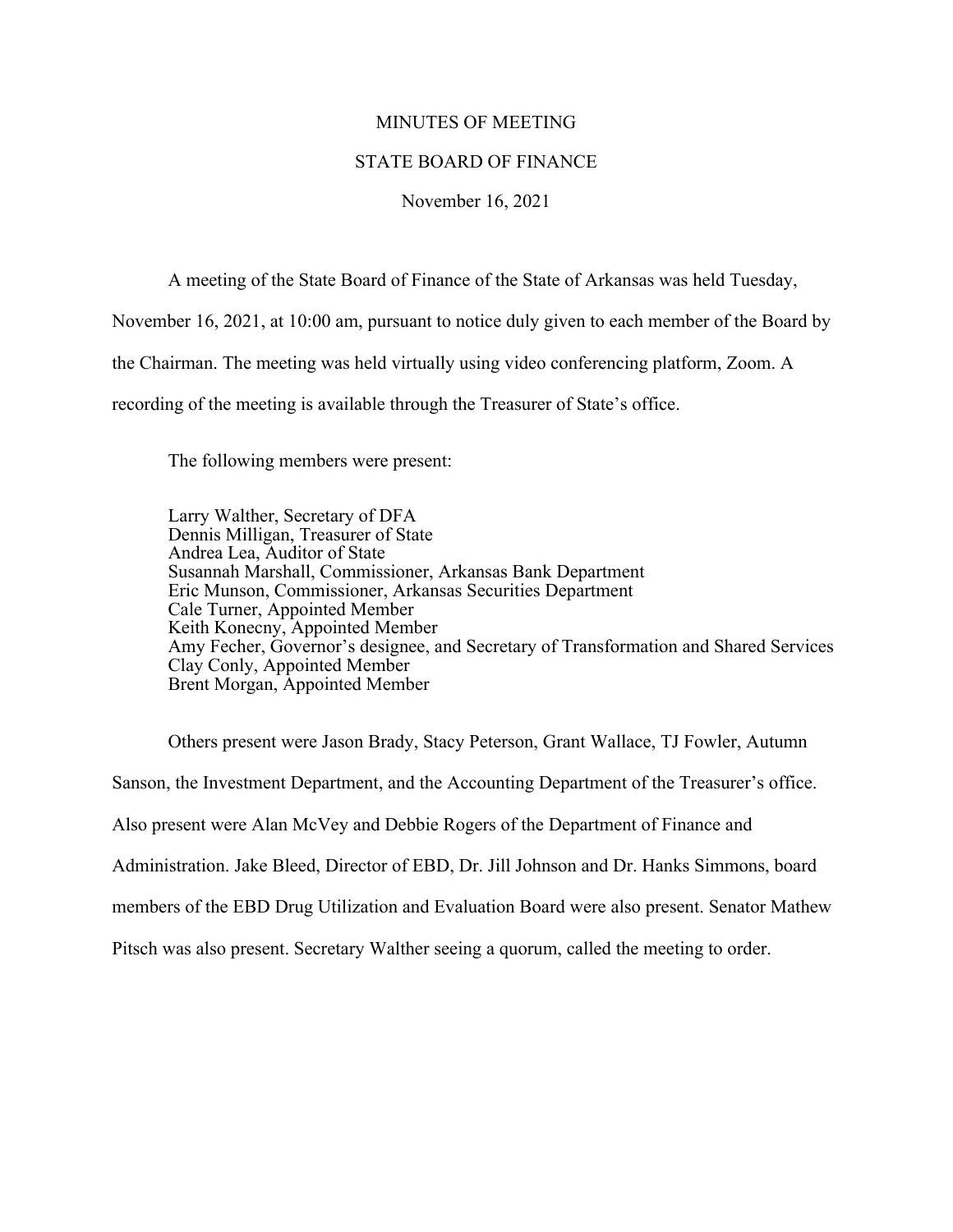## MINUTES OF MEETING

## STATE BOARD OF FINANCE

## November 16, 2021

A meeting of the State Board of Finance of the State of Arkansas was held Tuesday,

November 16, 2021, at 10:00 am, pursuant to notice duly given to each member of the Board by

the Chairman. The meeting was held virtually using video conferencing platform, Zoom. A

recording of the meeting is available through the Treasurer of State's office.

The following members were present:

Larry Walther, Secretary of DFA Dennis Milligan, Treasurer of State Andrea Lea, Auditor of State Susannah Marshall, Commissioner, Arkansas Bank Department Eric Munson, Commissioner, Arkansas Securities Department Cale Turner, Appointed Member Keith Konecny, Appointed Member Amy Fecher, Governor's designee, and Secretary of Transformation and Shared Services Clay Conly, Appointed Member Brent Morgan, Appointed Member

Others present were Jason Brady, Stacy Peterson, Grant Wallace, TJ Fowler, Autumn Sanson, the Investment Department, and the Accounting Department of the Treasurer's office. Also present were Alan McVey and Debbie Rogers of the Department of Finance and Administration. Jake Bleed, Director of EBD, Dr. Jill Johnson and Dr. Hanks Simmons, board members of the EBD Drug Utilization and Evaluation Board were also present. Senator Mathew Pitsch was also present. Secretary Walther seeing a quorum, called the meeting to order.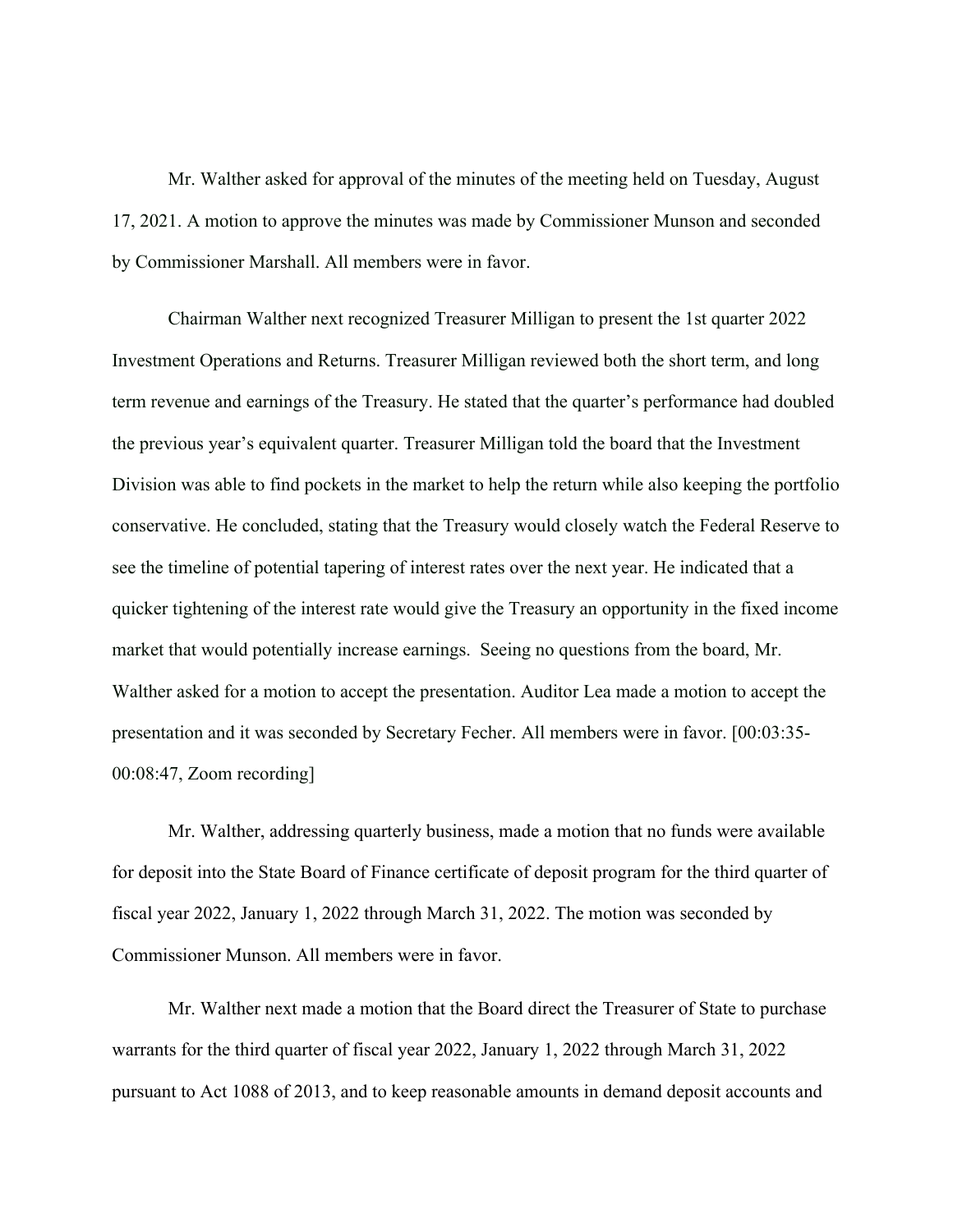Mr. Walther asked for approval of the minutes of the meeting held on Tuesday, August 17, 2021. A motion to approve the minutes was made by Commissioner Munson and seconded by Commissioner Marshall. All members were in favor.

Chairman Walther next recognized Treasurer Milligan to present the 1st quarter 2022 Investment Operations and Returns. Treasurer Milligan reviewed both the short term, and long term revenue and earnings of the Treasury. He stated that the quarter's performance had doubled the previous year's equivalent quarter. Treasurer Milligan told the board that the Investment Division was able to find pockets in the market to help the return while also keeping the portfolio conservative. He concluded, stating that the Treasury would closely watch the Federal Reserve to see the timeline of potential tapering of interest rates over the next year. He indicated that a quicker tightening of the interest rate would give the Treasury an opportunity in the fixed income market that would potentially increase earnings. Seeing no questions from the board, Mr. Walther asked for a motion to accept the presentation. Auditor Lea made a motion to accept the presentation and it was seconded by Secretary Fecher. All members were in favor. [00:03:35- 00:08:47, Zoom recording]

Mr. Walther, addressing quarterly business, made a motion that no funds were available for deposit into the State Board of Finance certificate of deposit program for the third quarter of fiscal year 2022, January 1, 2022 through March 31, 2022. The motion was seconded by Commissioner Munson. All members were in favor.

Mr. Walther next made a motion that the Board direct the Treasurer of State to purchase warrants for the third quarter of fiscal year 2022, January 1, 2022 through March 31, 2022 pursuant to Act 1088 of 2013, and to keep reasonable amounts in demand deposit accounts and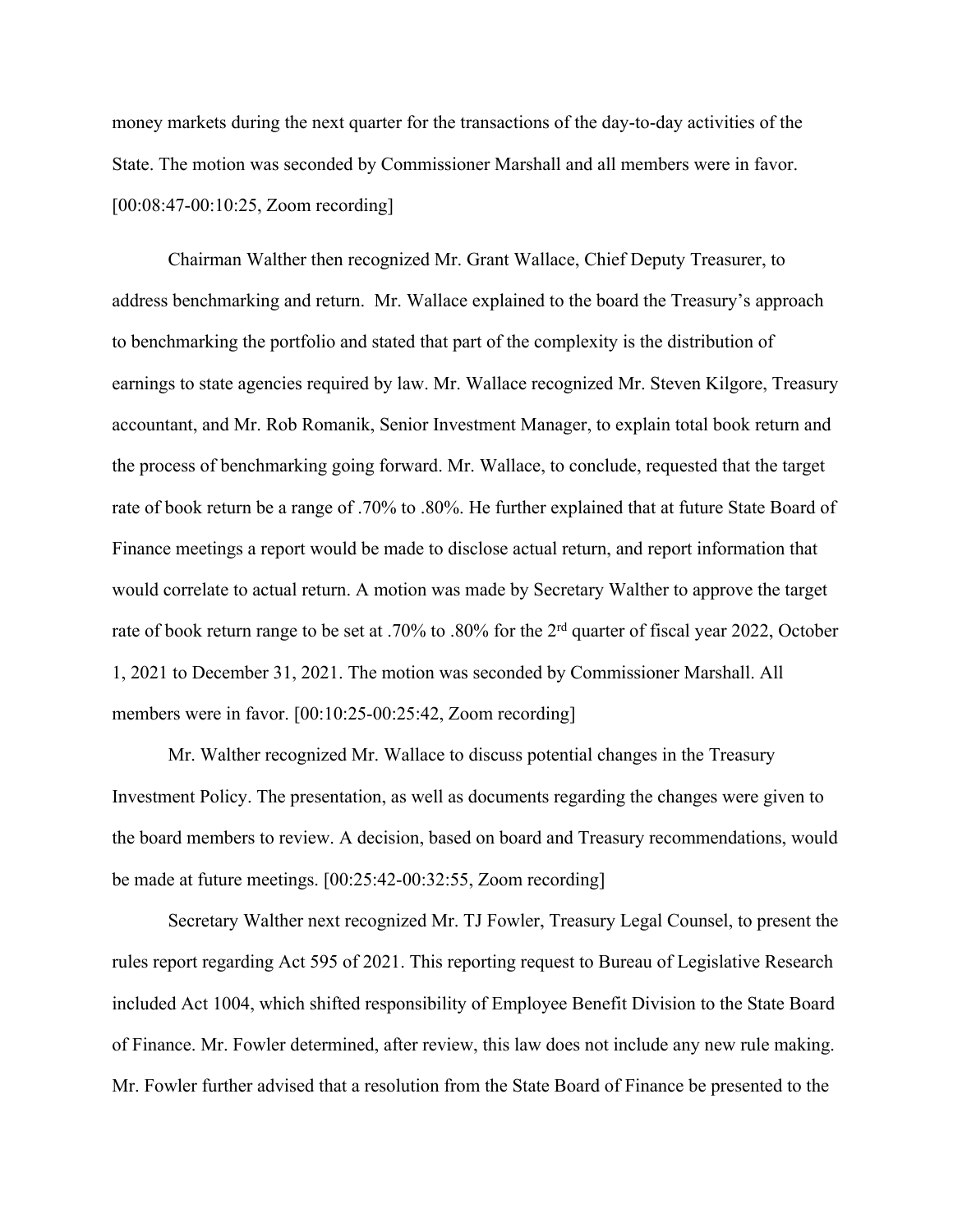money markets during the next quarter for the transactions of the day-to-day activities of the State. The motion was seconded by Commissioner Marshall and all members were in favor. [00:08:47-00:10:25, Zoom recording]

Chairman Walther then recognized Mr. Grant Wallace, Chief Deputy Treasurer, to address benchmarking and return. Mr. Wallace explained to the board the Treasury's approach to benchmarking the portfolio and stated that part of the complexity is the distribution of earnings to state agencies required by law. Mr. Wallace recognized Mr. Steven Kilgore, Treasury accountant, and Mr. Rob Romanik, Senior Investment Manager, to explain total book return and the process of benchmarking going forward. Mr. Wallace, to conclude, requested that the target rate of book return be a range of .70% to .80%. He further explained that at future State Board of Finance meetings a report would be made to disclose actual return, and report information that would correlate to actual return. A motion was made by Secretary Walther to approve the target rate of book return range to be set at .70% to .80% for the 2<sup>rd</sup> quarter of fiscal year 2022, October 1, 2021 to December 31, 2021. The motion was seconded by Commissioner Marshall. All members were in favor. [00:10:25-00:25:42, Zoom recording]

Mr. Walther recognized Mr. Wallace to discuss potential changes in the Treasury Investment Policy. The presentation, as well as documents regarding the changes were given to the board members to review. A decision, based on board and Treasury recommendations, would be made at future meetings. [00:25:42-00:32:55, Zoom recording]

Secretary Walther next recognized Mr. TJ Fowler, Treasury Legal Counsel, to present the rules report regarding Act 595 of 2021. This reporting request to Bureau of Legislative Research included Act 1004, which shifted responsibility of Employee Benefit Division to the State Board of Finance. Mr. Fowler determined, after review, this law does not include any new rule making. Mr. Fowler further advised that a resolution from the State Board of Finance be presented to the